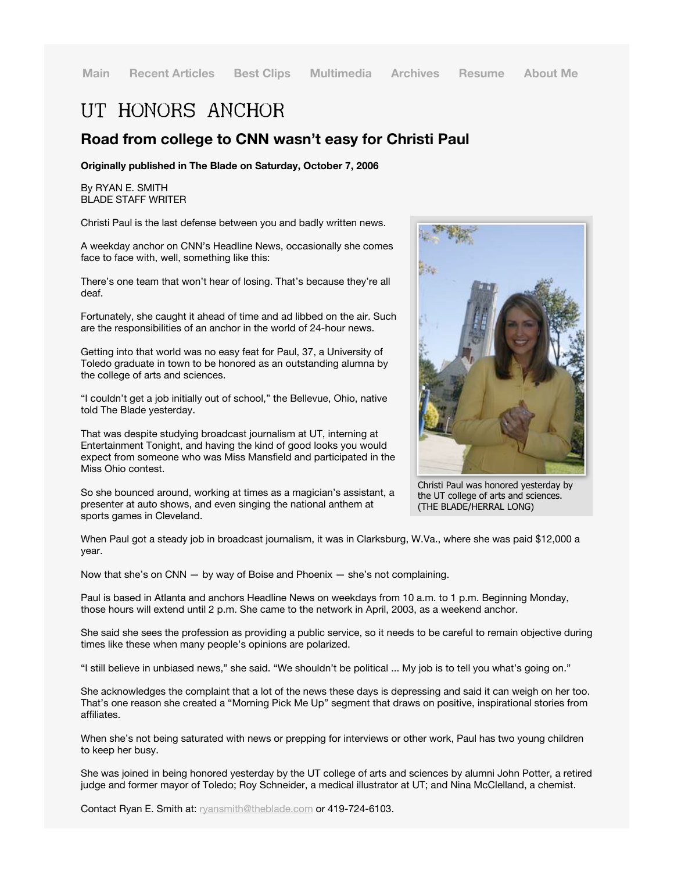## UT HONORS ANCHOR

## **Road from college to CNN wasn't easy for Christi Paul**

**Originally published in The Blade on Saturday, October 7, 2006**

By RYAN E. SMITH BLADE STAFF WRITER

Christi Paul is the last defense between you and badly written news.

A weekday anchor on CNN's Headline News, occasionally she comes face to face with, well, something like this:

There's one team that won't hear of losing. That's because they're all deaf.

Fortunately, she caught it ahead of time and ad libbed on the air. Such are the responsibilities of an anchor in the world of 24-hour news.

Getting into that world was no easy feat for Paul, 37, a University of Toledo graduate in town to be honored as an outstanding alumna by the college of arts and sciences.

"I couldn't get a job initially out of school," the Bellevue, Ohio, native told The Blade yesterday.

That was despite studying broadcast journalism at UT, interning at Entertainment Tonight, and having the kind of good looks you would expect from someone who was Miss Mansfield and participated in the Miss Ohio contest.

Christi Paul was honored yesterday by the UT college of arts and sciences. (THE BLADE/HERRAL LONG)

So she bounced around, working at times as a magician's assistant, a presenter at auto shows, and even singing the national anthem at sports games in Cleveland.

When Paul got a steady job in broadcast journalism, it was in Clarksburg, W.Va., where she was paid \$12,000 a year.

Now that she's on CNN  $-$  by way of Boise and Phoenix  $-$  she's not complaining.

Paul is based in Atlanta and anchors Headline News on weekdays from 10 a.m. to 1 p.m. Beginning Monday, those hours will extend until 2 p.m. She came to the network in April, 2003, as a weekend anchor.

She said she sees the profession as providing a public service, so it needs to be careful to remain objective during times like these when many people's opinions are polarized.

"I still believe in unbiased news," she said. "We shouldn't be political ... My job is to tell you what's going on."

She acknowledges the complaint that a lot of the news these days is depressing and said it can weigh on her too. That's one reason she created a "Morning Pick Me Up" segment that draws on positive, inspirational stories from affiliates.

When she's not being saturated with news or prepping for interviews or other work, Paul has two young children to keep her busy.

She was joined in being honored yesterday by the UT college of arts and sciences by alumni John Potter, a retired judge and former mayor of Toledo; Roy Schneider, a medical illustrator at UT; and Nina McClelland, a chemist.

Contact Ryan E. Smith at: ryansmith@theblade.com or 419-724-6103.